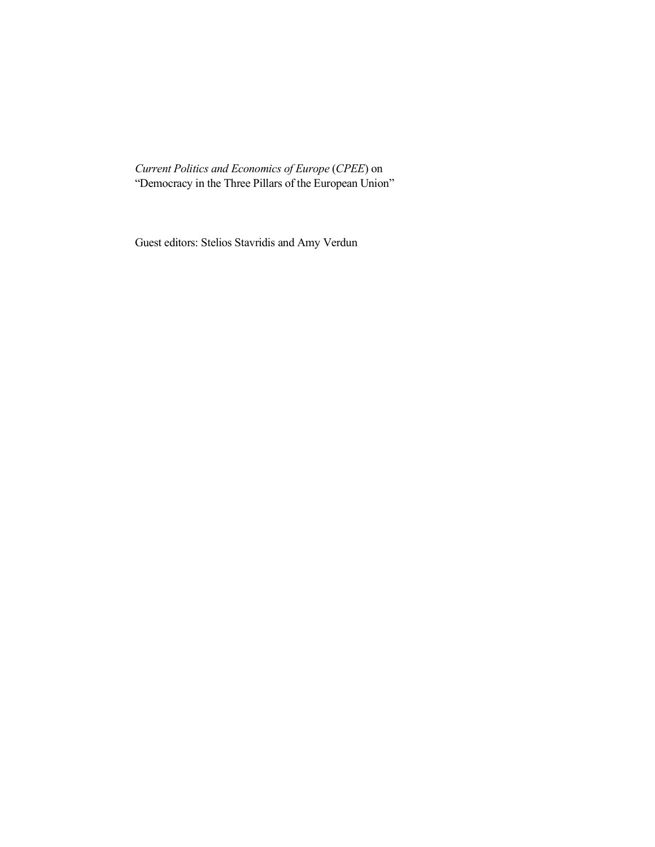*Current Politics and Economics of Europe* (*CPEE*) on "Democracy in the Three Pillars of the European Union"

Guest editors: Stelios Stavridis and Amy Verdun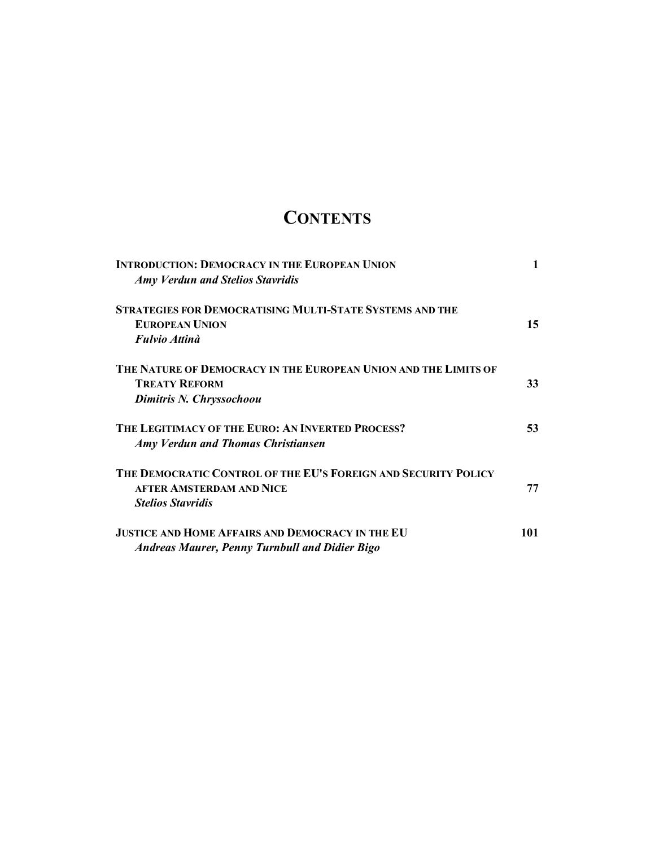# **CONTENTS**

| <b>INTRODUCTION: DEMOCRACY IN THE EUROPEAN UNION</b><br><b>Amy Verdun and Stelios Stavridis</b>                               |     |  |  |  |  |
|-------------------------------------------------------------------------------------------------------------------------------|-----|--|--|--|--|
| <b>STRATEGIES FOR DEMOCRATISING MULTI-STATE SYSTEMS AND THE</b><br><b>EUROPEAN UNION</b><br><b>Fulvio Attinà</b>              | 15  |  |  |  |  |
| THE NATURE OF DEMOCRACY IN THE EUROPEAN UNION AND THE LIMITS OF<br><b>TREATY REFORM</b><br>Dimitris N. Chryssochoou           | 33  |  |  |  |  |
| THE LEGITIMACY OF THE EURO: AN INVERTED PROCESS?<br>Amy Verdun and Thomas Christiansen                                        | 53  |  |  |  |  |
| THE DEMOCRATIC CONTROL OF THE EU'S FOREIGN AND SECURITY POLICY<br><b>AFTER AMSTERDAM AND NICE</b><br><b>Stelios Stavridis</b> | 77  |  |  |  |  |
| <b>JUSTICE AND HOME AFFAIRS AND DEMOCRACY IN THE EU</b><br><b>Andreas Maurer, Penny Turnbull and Didier Bigo</b>              | 101 |  |  |  |  |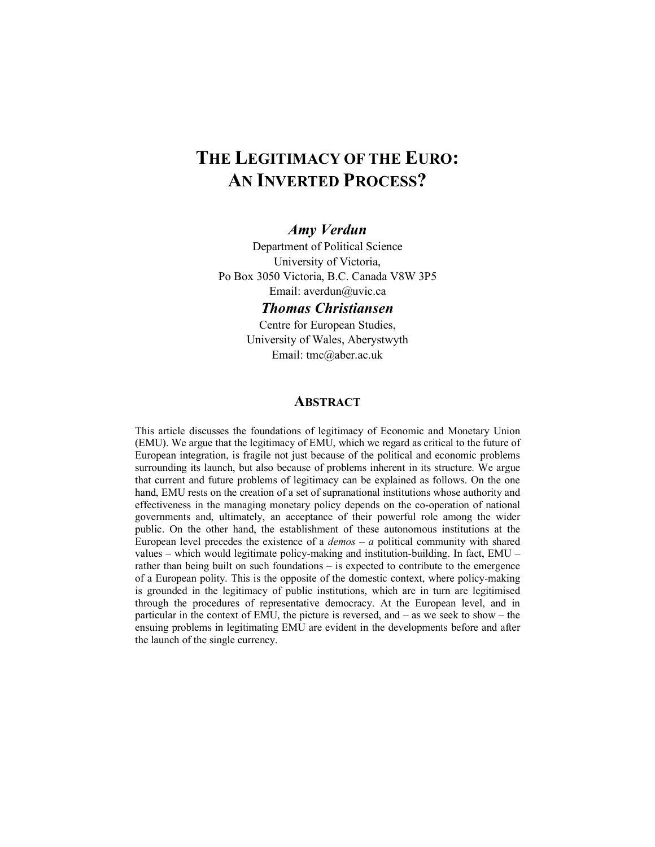## **THE LEGITIMACY OF THE EURO: AN INVERTED PROCESS?**

## *Amy Verdun*

Department of Political Science University of Victoria, Po Box 3050 Victoria, B.C. Canada V8W 3P5 Email: averdun@uvic.ca

## *Thomas Christiansen*

Centre for European Studies, University of Wales, Aberystwyth Email: tmc@aber.ac.uk

#### **ABSTRACT**

This article discusses the foundations of legitimacy of Economic and Monetary Union (EMU). We argue that the legitimacy of EMU, which we regard as critical to the future of European integration, is fragile not just because of the political and economic problems surrounding its launch, but also because of problems inherent in its structure. We argue that current and future problems of legitimacy can be explained as follows. On the one hand, EMU rests on the creation of a set of supranational institutions whose authority and effectiveness in the managing monetary policy depends on the co-operation of national governments and, ultimately, an acceptance of their powerful role among the wider public. On the other hand, the establishment of these autonomous institutions at the European level precedes the existence of a  $demos - a$  political community with shared values – which would legitimate policy-making and institution-building. In fact,  $EMU$ rather than being built on such foundations – is expected to contribute to the emergence of a European polity. This is the opposite of the domestic context, where policy-making is grounded in the legitimacy of public institutions, which are in turn are legitimised through the procedures of representative democracy. At the European level, and in particular in the context of EMU, the picture is reversed, and – as we seek to show – the ensuing problems in legitimating EMU are evident in the developments before and after the launch of the single currency.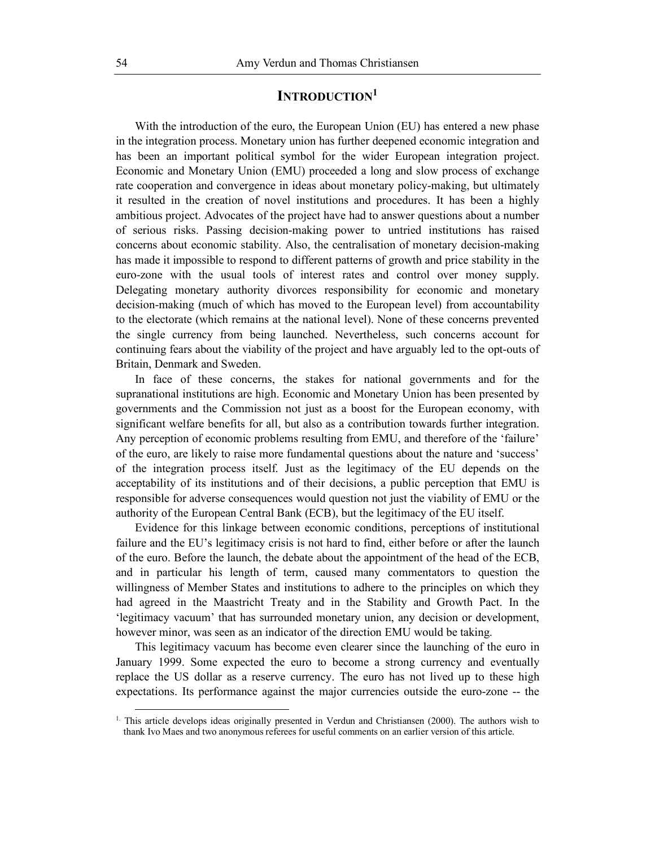## **INTRODUCTION1**

With the introduction of the euro, the European Union (EU) has entered a new phase in the integration process. Monetary union has further deepened economic integration and has been an important political symbol for the wider European integration project. Economic and Monetary Union (EMU) proceeded a long and slow process of exchange rate cooperation and convergence in ideas about monetary policy-making, but ultimately it resulted in the creation of novel institutions and procedures. It has been a highly ambitious project. Advocates of the project have had to answer questions about a number of serious risks. Passing decision-making power to untried institutions has raised concerns about economic stability. Also, the centralisation of monetary decision-making has made it impossible to respond to different patterns of growth and price stability in the euro-zone with the usual tools of interest rates and control over money supply. Delegating monetary authority divorces responsibility for economic and monetary decision-making (much of which has moved to the European level) from accountability to the electorate (which remains at the national level). None of these concerns prevented the single currency from being launched. Nevertheless, such concerns account for continuing fears about the viability of the project and have arguably led to the opt-outs of Britain, Denmark and Sweden.

In face of these concerns, the stakes for national governments and for the supranational institutions are high. Economic and Monetary Union has been presented by governments and the Commission not just as a boost for the European economy, with significant welfare benefits for all, but also as a contribution towards further integration. Any perception of economic problems resulting from EMU, and therefore of the 'failure' of the euro, are likely to raise more fundamental questions about the nature and 'success' of the integration process itself. Just as the legitimacy of the EU depends on the acceptability of its institutions and of their decisions, a public perception that EMU is responsible for adverse consequences would question not just the viability of EMU or the authority of the European Central Bank (ECB), but the legitimacy of the EU itself.

Evidence for this linkage between economic conditions, perceptions of institutional failure and the EU's legitimacy crisis is not hard to find, either before or after the launch of the euro. Before the launch, the debate about the appointment of the head of the ECB, and in particular his length of term, caused many commentators to question the willingness of Member States and institutions to adhere to the principles on which they had agreed in the Maastricht Treaty and in the Stability and Growth Pact. In the 'legitimacy vacuum' that has surrounded monetary union, any decision or development, however minor, was seen as an indicator of the direction EMU would be taking.

This legitimacy vacuum has become even clearer since the launching of the euro in January 1999. Some expected the euro to become a strong currency and eventually replace the US dollar as a reserve currency. The euro has not lived up to these high expectations. Its performance against the major currencies outside the euro-zone -- the

 <sup>1.</sup> This article develops ideas originally presented in Verdun and Christiansen (2000). The authors wish to thank Ivo Maes and two anonymous referees for useful comments on an earlier version of this article.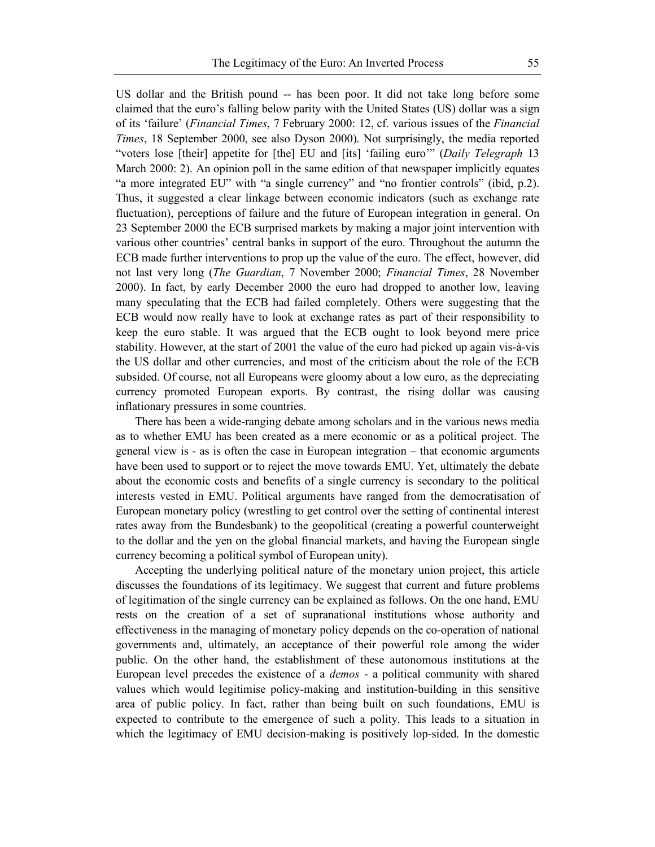US dollar and the British pound -- has been poor. It did not take long before some claimed that the euro's falling below parity with the United States (US) dollar was a sign of its 'failure' (*Financial Times*, 7 February 2000: 12, cf. various issues of the *Financial Times*, 18 September 2000, see also Dyson 2000). Not surprisingly, the media reported "voters lose [their] appetite for [the] EU and [its] 'failing euro'" (*Daily Telegraph* 13 March 2000: 2). An opinion poll in the same edition of that newspaper implicitly equates "a more integrated EU" with "a single currency" and "no frontier controls" (ibid, p.2). Thus, it suggested a clear linkage between economic indicators (such as exchange rate fluctuation), perceptions of failure and the future of European integration in general. On 23 September 2000 the ECB surprised markets by making a major joint intervention with various other countries' central banks in support of the euro. Throughout the autumn the ECB made further interventions to prop up the value of the euro. The effect, however, did not last very long (*The Guardian*, 7 November 2000; *Financial Times*, 28 November 2000). In fact, by early December 2000 the euro had dropped to another low, leaving many speculating that the ECB had failed completely. Others were suggesting that the ECB would now really have to look at exchange rates as part of their responsibility to keep the euro stable. It was argued that the ECB ought to look beyond mere price stability. However, at the start of 2001 the value of the euro had picked up again vis-à-vis the US dollar and other currencies, and most of the criticism about the role of the ECB subsided. Of course, not all Europeans were gloomy about a low euro, as the depreciating currency promoted European exports. By contrast, the rising dollar was causing inflationary pressures in some countries.

There has been a wide-ranging debate among scholars and in the various news media as to whether EMU has been created as a mere economic or as a political project. The general view is - as is often the case in European integration – that economic arguments have been used to support or to reject the move towards EMU. Yet, ultimately the debate about the economic costs and benefits of a single currency is secondary to the political interests vested in EMU. Political arguments have ranged from the democratisation of European monetary policy (wrestling to get control over the setting of continental interest rates away from the Bundesbank) to the geopolitical (creating a powerful counterweight to the dollar and the yen on the global financial markets, and having the European single currency becoming a political symbol of European unity).

Accepting the underlying political nature of the monetary union project, this article discusses the foundations of its legitimacy. We suggest that current and future problems of legitimation of the single currency can be explained as follows. On the one hand, EMU rests on the creation of a set of supranational institutions whose authority and effectiveness in the managing of monetary policy depends on the co-operation of national governments and, ultimately, an acceptance of their powerful role among the wider public. On the other hand, the establishment of these autonomous institutions at the European level precedes the existence of a *demos* - a political community with shared values which would legitimise policy-making and institution-building in this sensitive area of public policy. In fact, rather than being built on such foundations, EMU is expected to contribute to the emergence of such a polity. This leads to a situation in which the legitimacy of EMU decision-making is positively lop-sided. In the domestic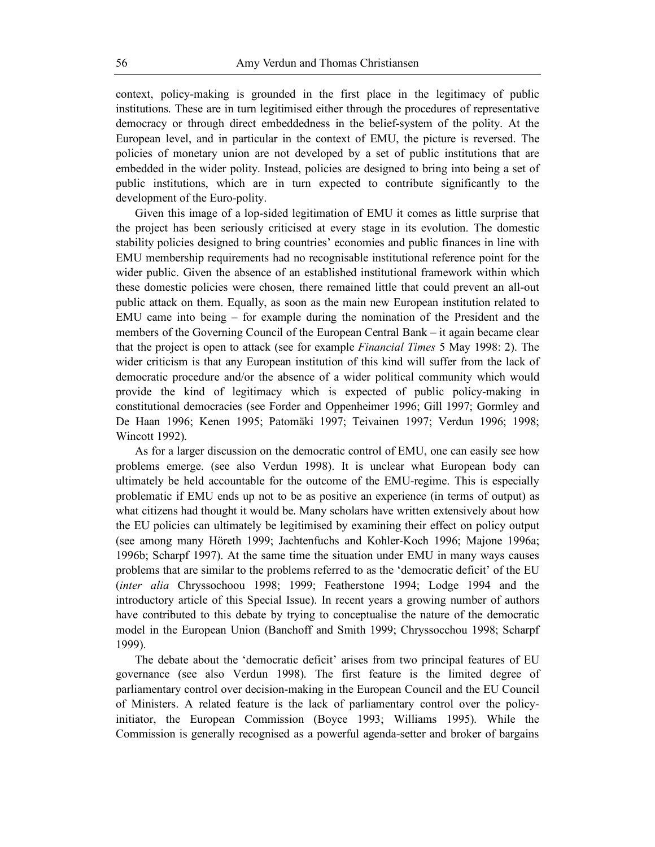context, policy-making is grounded in the first place in the legitimacy of public institutions. These are in turn legitimised either through the procedures of representative democracy or through direct embeddedness in the belief-system of the polity. At the European level, and in particular in the context of EMU, the picture is reversed. The policies of monetary union are not developed by a set of public institutions that are embedded in the wider polity. Instead, policies are designed to bring into being a set of public institutions, which are in turn expected to contribute significantly to the development of the Euro-polity.

Given this image of a lop-sided legitimation of EMU it comes as little surprise that the project has been seriously criticised at every stage in its evolution. The domestic stability policies designed to bring countries' economies and public finances in line with EMU membership requirements had no recognisable institutional reference point for the wider public. Given the absence of an established institutional framework within which these domestic policies were chosen, there remained little that could prevent an all-out public attack on them. Equally, as soon as the main new European institution related to EMU came into being – for example during the nomination of the President and the members of the Governing Council of the European Central Bank – it again became clear that the project is open to attack (see for example *Financial Times* 5 May 1998: 2). The wider criticism is that any European institution of this kind will suffer from the lack of democratic procedure and/or the absence of a wider political community which would provide the kind of legitimacy which is expected of public policy-making in constitutional democracies (see Forder and Oppenheimer 1996; Gill 1997; Gormley and De Haan 1996; Kenen 1995; Patomäki 1997; Teivainen 1997; Verdun 1996; 1998; Wincott 1992).

As for a larger discussion on the democratic control of EMU, one can easily see how problems emerge. (see also Verdun 1998). It is unclear what European body can ultimately be held accountable for the outcome of the EMU-regime. This is especially problematic if EMU ends up not to be as positive an experience (in terms of output) as what citizens had thought it would be. Many scholars have written extensively about how the EU policies can ultimately be legitimised by examining their effect on policy output (see among many Höreth 1999; Jachtenfuchs and Kohler-Koch 1996; Majone 1996a; 1996b; Scharpf 1997). At the same time the situation under EMU in many ways causes problems that are similar to the problems referred to as the 'democratic deficit' of the EU (*inter alia* Chryssochoou 1998; 1999; Featherstone 1994; Lodge 1994 and the introductory article of this Special Issue). In recent years a growing number of authors have contributed to this debate by trying to conceptualise the nature of the democratic model in the European Union (Banchoff and Smith 1999; Chryssocchou 1998; Scharpf 1999).

The debate about the 'democratic deficit' arises from two principal features of EU governance (see also Verdun 1998). The first feature is the limited degree of parliamentary control over decision-making in the European Council and the EU Council of Ministers. A related feature is the lack of parliamentary control over the policyinitiator, the European Commission (Boyce 1993; Williams 1995). While the Commission is generally recognised as a powerful agenda-setter and broker of bargains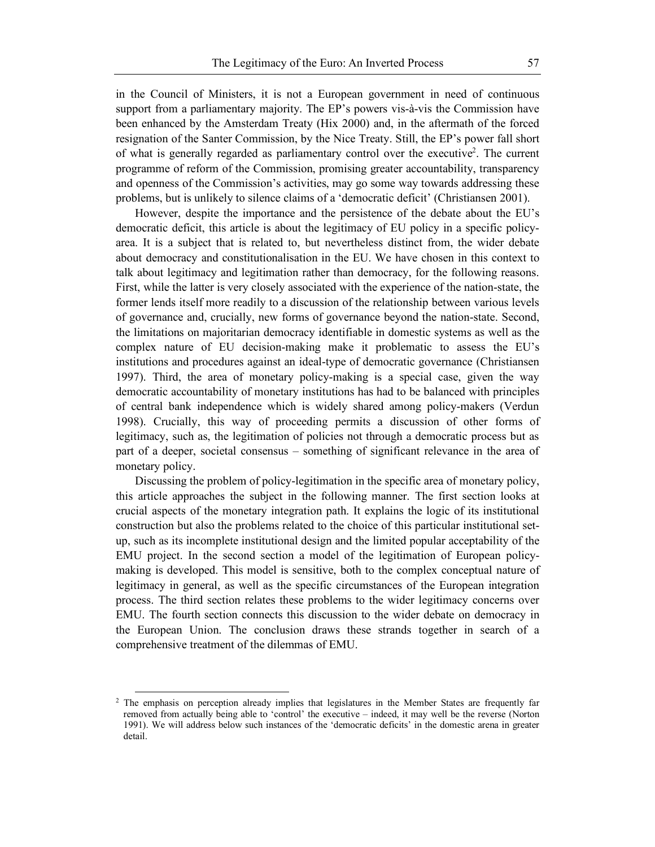in the Council of Ministers, it is not a European government in need of continuous support from a parliamentary majority. The EP's powers vis-à-vis the Commission have been enhanced by the Amsterdam Treaty (Hix 2000) and, in the aftermath of the forced resignation of the Santer Commission, by the Nice Treaty. Still, the EP's power fall short of what is generally regarded as parliamentary control over the executive<sup>2</sup>. The current programme of reform of the Commission, promising greater accountability, transparency and openness of the Commission's activities, may go some way towards addressing these problems, but is unlikely to silence claims of a 'democratic deficit' (Christiansen 2001).

However, despite the importance and the persistence of the debate about the EU's democratic deficit, this article is about the legitimacy of EU policy in a specific policyarea. It is a subject that is related to, but nevertheless distinct from, the wider debate about democracy and constitutionalisation in the EU. We have chosen in this context to talk about legitimacy and legitimation rather than democracy, for the following reasons. First, while the latter is very closely associated with the experience of the nation-state, the former lends itself more readily to a discussion of the relationship between various levels of governance and, crucially, new forms of governance beyond the nation-state. Second, the limitations on majoritarian democracy identifiable in domestic systems as well as the complex nature of EU decision-making make it problematic to assess the EU's institutions and procedures against an ideal-type of democratic governance (Christiansen 1997). Third, the area of monetary policy-making is a special case, given the way democratic accountability of monetary institutions has had to be balanced with principles of central bank independence which is widely shared among policy-makers (Verdun 1998). Crucially, this way of proceeding permits a discussion of other forms of legitimacy, such as, the legitimation of policies not through a democratic process but as part of a deeper, societal consensus – something of significant relevance in the area of monetary policy.

Discussing the problem of policy-legitimation in the specific area of monetary policy, this article approaches the subject in the following manner. The first section looks at crucial aspects of the monetary integration path. It explains the logic of its institutional construction but also the problems related to the choice of this particular institutional setup, such as its incomplete institutional design and the limited popular acceptability of the EMU project. In the second section a model of the legitimation of European policymaking is developed. This model is sensitive, both to the complex conceptual nature of legitimacy in general, as well as the specific circumstances of the European integration process. The third section relates these problems to the wider legitimacy concerns over EMU. The fourth section connects this discussion to the wider debate on democracy in the European Union. The conclusion draws these strands together in search of a comprehensive treatment of the dilemmas of EMU.

<sup>&</sup>lt;sup>2</sup> The emphasis on perception already implies that legislatures in the Member States are frequently far removed from actually being able to 'control' the executive – indeed, it may well be the reverse (Norton 1991). We will address below such instances of the 'democratic deficits' in the domestic arena in greater detail.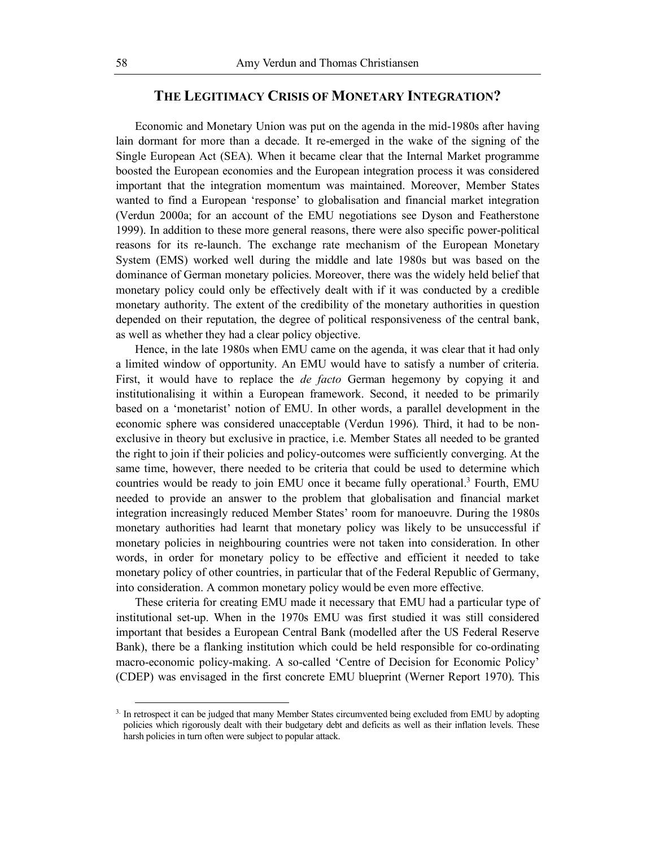## **THE LEGITIMACY CRISIS OF MONETARY INTEGRATION?**

Economic and Monetary Union was put on the agenda in the mid-1980s after having lain dormant for more than a decade. It re-emerged in the wake of the signing of the Single European Act (SEA). When it became clear that the Internal Market programme boosted the European economies and the European integration process it was considered important that the integration momentum was maintained. Moreover, Member States wanted to find a European 'response' to globalisation and financial market integration (Verdun 2000a; for an account of the EMU negotiations see Dyson and Featherstone 1999). In addition to these more general reasons, there were also specific power-political reasons for its re-launch. The exchange rate mechanism of the European Monetary System (EMS) worked well during the middle and late 1980s but was based on the dominance of German monetary policies. Moreover, there was the widely held belief that monetary policy could only be effectively dealt with if it was conducted by a credible monetary authority. The extent of the credibility of the monetary authorities in question depended on their reputation, the degree of political responsiveness of the central bank, as well as whether they had a clear policy objective.

Hence, in the late 1980s when EMU came on the agenda, it was clear that it had only a limited window of opportunity. An EMU would have to satisfy a number of criteria. First, it would have to replace the *de facto* German hegemony by copying it and institutionalising it within a European framework. Second, it needed to be primarily based on a 'monetarist' notion of EMU. In other words, a parallel development in the economic sphere was considered unacceptable (Verdun 1996). Third, it had to be nonexclusive in theory but exclusive in practice, i.e. Member States all needed to be granted the right to join if their policies and policy-outcomes were sufficiently converging. At the same time, however, there needed to be criteria that could be used to determine which countries would be ready to join EMU once it became fully operational.<sup>3</sup> Fourth, EMU needed to provide an answer to the problem that globalisation and financial market integration increasingly reduced Member States' room for manoeuvre. During the 1980s monetary authorities had learnt that monetary policy was likely to be unsuccessful if monetary policies in neighbouring countries were not taken into consideration. In other words, in order for monetary policy to be effective and efficient it needed to take monetary policy of other countries, in particular that of the Federal Republic of Germany, into consideration. A common monetary policy would be even more effective.

These criteria for creating EMU made it necessary that EMU had a particular type of institutional set-up. When in the 1970s EMU was first studied it was still considered important that besides a European Central Bank (modelled after the US Federal Reserve Bank), there be a flanking institution which could be held responsible for co-ordinating macro-economic policy-making. A so-called 'Centre of Decision for Economic Policy' (CDEP) was envisaged in the first concrete EMU blueprint (Werner Report 1970). This

 <sup>3.</sup> In retrospect it can be judged that many Member States circumvented being excluded from EMU by adopting policies which rigorously dealt with their budgetary debt and deficits as well as their inflation levels. These harsh policies in turn often were subject to popular attack.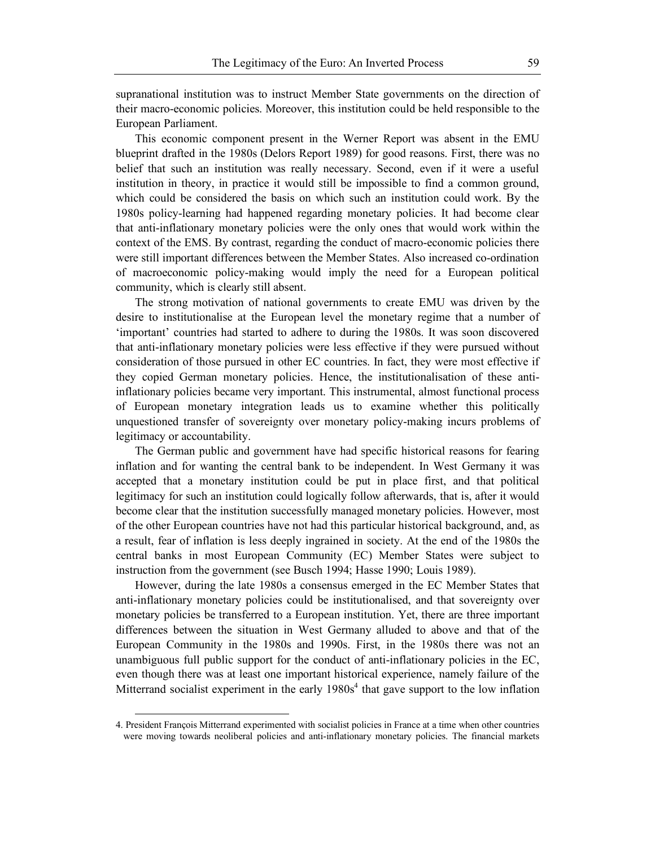supranational institution was to instruct Member State governments on the direction of their macro-economic policies. Moreover, this institution could be held responsible to the European Parliament.

This economic component present in the Werner Report was absent in the EMU blueprint drafted in the 1980s (Delors Report 1989) for good reasons. First, there was no belief that such an institution was really necessary. Second, even if it were a useful institution in theory, in practice it would still be impossible to find a common ground, which could be considered the basis on which such an institution could work. By the 1980s policy-learning had happened regarding monetary policies. It had become clear that anti-inflationary monetary policies were the only ones that would work within the context of the EMS. By contrast, regarding the conduct of macro-economic policies there were still important differences between the Member States. Also increased co-ordination of macroeconomic policy-making would imply the need for a European political community, which is clearly still absent.

The strong motivation of national governments to create EMU was driven by the desire to institutionalise at the European level the monetary regime that a number of 'important' countries had started to adhere to during the 1980s. It was soon discovered that anti-inflationary monetary policies were less effective if they were pursued without consideration of those pursued in other EC countries. In fact, they were most effective if they copied German monetary policies. Hence, the institutionalisation of these antiinflationary policies became very important. This instrumental, almost functional process of European monetary integration leads us to examine whether this politically unquestioned transfer of sovereignty over monetary policy-making incurs problems of legitimacy or accountability.

The German public and government have had specific historical reasons for fearing inflation and for wanting the central bank to be independent. In West Germany it was accepted that a monetary institution could be put in place first, and that political legitimacy for such an institution could logically follow afterwards, that is, after it would become clear that the institution successfully managed monetary policies. However, most of the other European countries have not had this particular historical background, and, as a result, fear of inflation is less deeply ingrained in society. At the end of the 1980s the central banks in most European Community (EC) Member States were subject to instruction from the government (see Busch 1994; Hasse 1990; Louis 1989).

However, during the late 1980s a consensus emerged in the EC Member States that anti-inflationary monetary policies could be institutionalised, and that sovereignty over monetary policies be transferred to a European institution. Yet, there are three important differences between the situation in West Germany alluded to above and that of the European Community in the 1980s and 1990s. First, in the 1980s there was not an unambiguous full public support for the conduct of anti-inflationary policies in the EC, even though there was at least one important historical experience, namely failure of the Mitterrand socialist experiment in the early  $1980s<sup>4</sup>$  that gave support to the low inflation

 <sup>4.</sup> President François Mitterrand experimented with socialist policies in France at a time when other countries were moving towards neoliberal policies and anti-inflationary monetary policies. The financial markets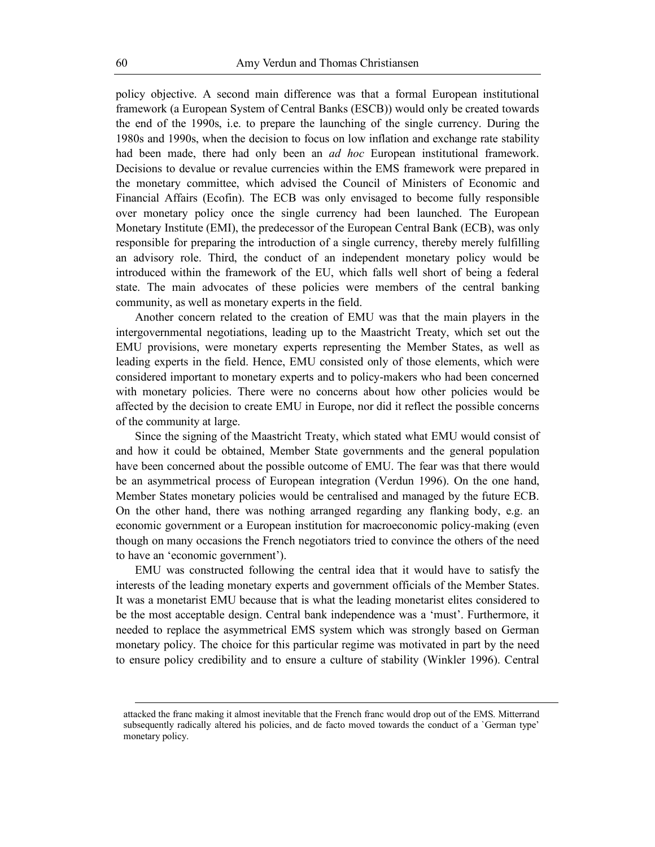policy objective. A second main difference was that a formal European institutional framework (a European System of Central Banks (ESCB)) would only be created towards the end of the 1990s, i.e. to prepare the launching of the single currency. During the 1980s and 1990s, when the decision to focus on low inflation and exchange rate stability had been made, there had only been an *ad hoc* European institutional framework. Decisions to devalue or revalue currencies within the EMS framework were prepared in the monetary committee, which advised the Council of Ministers of Economic and Financial Affairs (Ecofin). The ECB was only envisaged to become fully responsible over monetary policy once the single currency had been launched. The European Monetary Institute (EMI), the predecessor of the European Central Bank (ECB), was only responsible for preparing the introduction of a single currency, thereby merely fulfilling an advisory role. Third, the conduct of an independent monetary policy would be introduced within the framework of the EU, which falls well short of being a federal state. The main advocates of these policies were members of the central banking community, as well as monetary experts in the field.

Another concern related to the creation of EMU was that the main players in the intergovernmental negotiations, leading up to the Maastricht Treaty, which set out the EMU provisions, were monetary experts representing the Member States, as well as leading experts in the field. Hence, EMU consisted only of those elements, which were considered important to monetary experts and to policy-makers who had been concerned with monetary policies. There were no concerns about how other policies would be affected by the decision to create EMU in Europe, nor did it reflect the possible concerns of the community at large.

Since the signing of the Maastricht Treaty, which stated what EMU would consist of and how it could be obtained, Member State governments and the general population have been concerned about the possible outcome of EMU. The fear was that there would be an asymmetrical process of European integration (Verdun 1996). On the one hand, Member States monetary policies would be centralised and managed by the future ECB. On the other hand, there was nothing arranged regarding any flanking body, e.g. an economic government or a European institution for macroeconomic policy-making (even though on many occasions the French negotiators tried to convince the others of the need to have an 'economic government').

EMU was constructed following the central idea that it would have to satisfy the interests of the leading monetary experts and government officials of the Member States. It was a monetarist EMU because that is what the leading monetarist elites considered to be the most acceptable design. Central bank independence was a 'must'. Furthermore, it needed to replace the asymmetrical EMS system which was strongly based on German monetary policy. The choice for this particular regime was motivated in part by the need to ensure policy credibility and to ensure a culture of stability (Winkler 1996). Central

attacked the franc making it almost inevitable that the French franc would drop out of the EMS. Mitterrand subsequently radically altered his policies, and de facto moved towards the conduct of a `German type' monetary policy.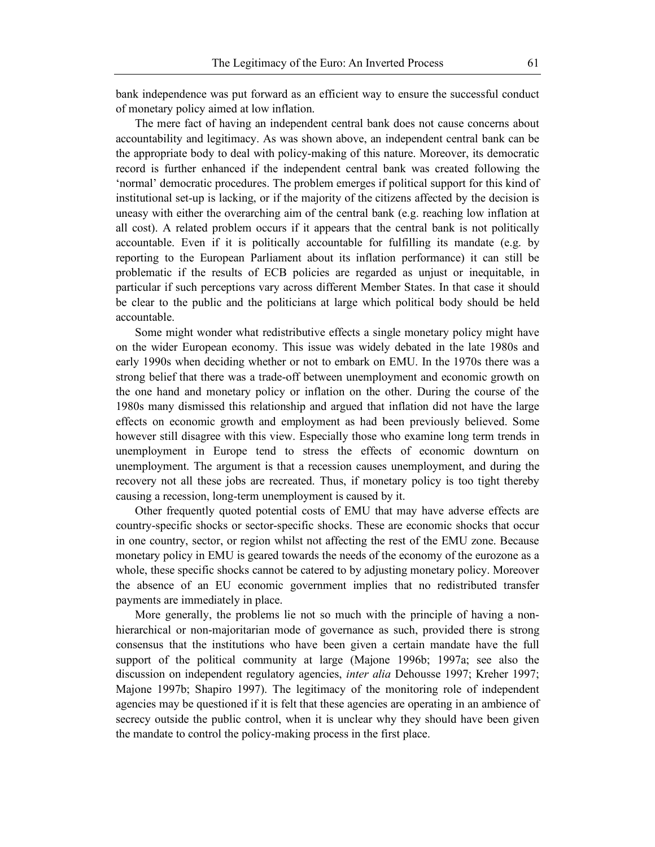bank independence was put forward as an efficient way to ensure the successful conduct of monetary policy aimed at low inflation.

The mere fact of having an independent central bank does not cause concerns about accountability and legitimacy. As was shown above, an independent central bank can be the appropriate body to deal with policy-making of this nature. Moreover, its democratic record is further enhanced if the independent central bank was created following the 'normal' democratic procedures. The problem emerges if political support for this kind of institutional set-up is lacking, or if the majority of the citizens affected by the decision is uneasy with either the overarching aim of the central bank (e.g. reaching low inflation at all cost). A related problem occurs if it appears that the central bank is not politically accountable. Even if it is politically accountable for fulfilling its mandate (e.g. by reporting to the European Parliament about its inflation performance) it can still be problematic if the results of ECB policies are regarded as unjust or inequitable, in particular if such perceptions vary across different Member States. In that case it should be clear to the public and the politicians at large which political body should be held accountable.

Some might wonder what redistributive effects a single monetary policy might have on the wider European economy. This issue was widely debated in the late 1980s and early 1990s when deciding whether or not to embark on EMU. In the 1970s there was a strong belief that there was a trade-off between unemployment and economic growth on the one hand and monetary policy or inflation on the other. During the course of the 1980s many dismissed this relationship and argued that inflation did not have the large effects on economic growth and employment as had been previously believed. Some however still disagree with this view. Especially those who examine long term trends in unemployment in Europe tend to stress the effects of economic downturn on unemployment. The argument is that a recession causes unemployment, and during the recovery not all these jobs are recreated. Thus, if monetary policy is too tight thereby causing a recession, long-term unemployment is caused by it.

Other frequently quoted potential costs of EMU that may have adverse effects are country-specific shocks or sector-specific shocks. These are economic shocks that occur in one country, sector, or region whilst not affecting the rest of the EMU zone. Because monetary policy in EMU is geared towards the needs of the economy of the eurozone as a whole, these specific shocks cannot be catered to by adjusting monetary policy. Moreover the absence of an EU economic government implies that no redistributed transfer payments are immediately in place.

More generally, the problems lie not so much with the principle of having a nonhierarchical or non-majoritarian mode of governance as such, provided there is strong consensus that the institutions who have been given a certain mandate have the full support of the political community at large (Majone 1996b; 1997a; see also the discussion on independent regulatory agencies, *inter alia* Dehousse 1997; Kreher 1997; Majone 1997b; Shapiro 1997). The legitimacy of the monitoring role of independent agencies may be questioned if it is felt that these agencies are operating in an ambience of secrecy outside the public control, when it is unclear why they should have been given the mandate to control the policy-making process in the first place.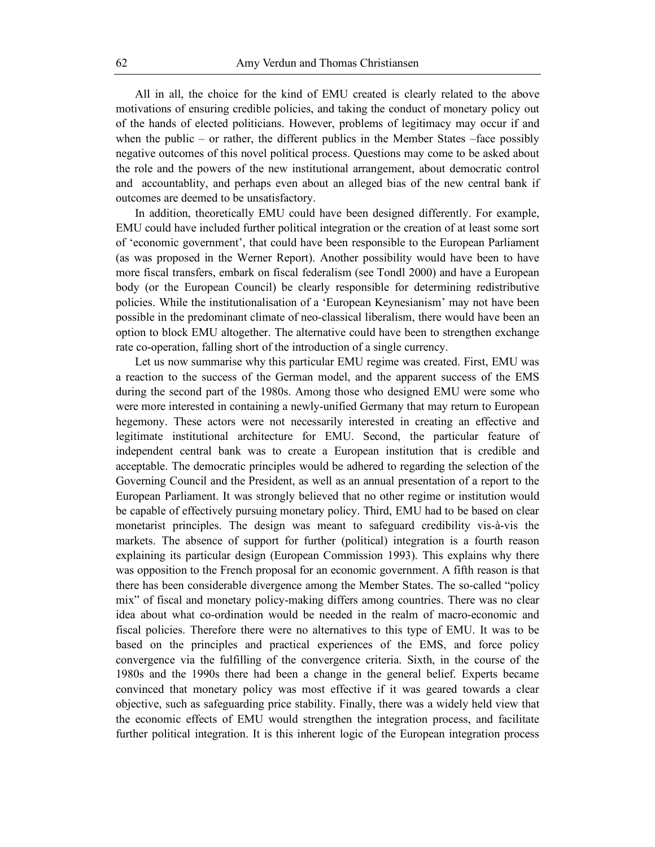All in all, the choice for the kind of EMU created is clearly related to the above motivations of ensuring credible policies, and taking the conduct of monetary policy out of the hands of elected politicians. However, problems of legitimacy may occur if and when the public – or rather, the different publics in the Member States –face possibly negative outcomes of this novel political process. Questions may come to be asked about the role and the powers of the new institutional arrangement, about democratic control and accountablity, and perhaps even about an alleged bias of the new central bank if outcomes are deemed to be unsatisfactory.

In addition, theoretically EMU could have been designed differently. For example, EMU could have included further political integration or the creation of at least some sort of 'economic government', that could have been responsible to the European Parliament (as was proposed in the Werner Report). Another possibility would have been to have more fiscal transfers, embark on fiscal federalism (see Tondl 2000) and have a European body (or the European Council) be clearly responsible for determining redistributive policies. While the institutionalisation of a 'European Keynesianism' may not have been possible in the predominant climate of neo-classical liberalism, there would have been an option to block EMU altogether. The alternative could have been to strengthen exchange rate co-operation, falling short of the introduction of a single currency.

Let us now summarise why this particular EMU regime was created. First, EMU was a reaction to the success of the German model, and the apparent success of the EMS during the second part of the 1980s. Among those who designed EMU were some who were more interested in containing a newly-unified Germany that may return to European hegemony. These actors were not necessarily interested in creating an effective and legitimate institutional architecture for EMU. Second, the particular feature of independent central bank was to create a European institution that is credible and acceptable. The democratic principles would be adhered to regarding the selection of the Governing Council and the President, as well as an annual presentation of a report to the European Parliament. It was strongly believed that no other regime or institution would be capable of effectively pursuing monetary policy. Third, EMU had to be based on clear monetarist principles. The design was meant to safeguard credibility vis-à-vis the markets. The absence of support for further (political) integration is a fourth reason explaining its particular design (European Commission 1993). This explains why there was opposition to the French proposal for an economic government. A fifth reason is that there has been considerable divergence among the Member States. The so-called "policy mix" of fiscal and monetary policy-making differs among countries. There was no clear idea about what co-ordination would be needed in the realm of macro-economic and fiscal policies. Therefore there were no alternatives to this type of EMU. It was to be based on the principles and practical experiences of the EMS, and force policy convergence via the fulfilling of the convergence criteria. Sixth, in the course of the 1980s and the 1990s there had been a change in the general belief. Experts became convinced that monetary policy was most effective if it was geared towards a clear objective, such as safeguarding price stability. Finally, there was a widely held view that the economic effects of EMU would strengthen the integration process, and facilitate further political integration. It is this inherent logic of the European integration process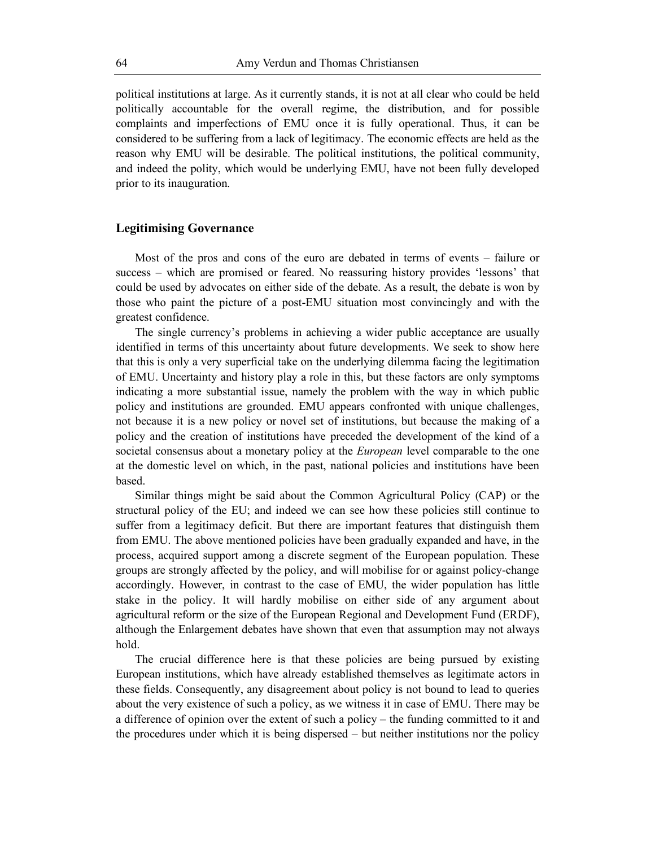political institutions at large. As it currently stands, it is not at all clear who could be held politically accountable for the overall regime, the distribution, and for possible complaints and imperfections of EMU once it is fully operational. Thus, it can be considered to be suffering from a lack of legitimacy. The economic effects are held as the reason why EMU will be desirable. The political institutions, the political community, and indeed the polity, which would be underlying EMU, have not been fully developed prior to its inauguration.

#### **Legitimising Governance**

Most of the pros and cons of the euro are debated in terms of events – failure or success – which are promised or feared. No reassuring history provides 'lessons' that could be used by advocates on either side of the debate. As a result, the debate is won by those who paint the picture of a post-EMU situation most convincingly and with the greatest confidence.

The single currency's problems in achieving a wider public acceptance are usually identified in terms of this uncertainty about future developments. We seek to show here that this is only a very superficial take on the underlying dilemma facing the legitimation of EMU. Uncertainty and history play a role in this, but these factors are only symptoms indicating a more substantial issue, namely the problem with the way in which public policy and institutions are grounded. EMU appears confronted with unique challenges, not because it is a new policy or novel set of institutions, but because the making of a policy and the creation of institutions have preceded the development of the kind of a societal consensus about a monetary policy at the *European* level comparable to the one at the domestic level on which, in the past, national policies and institutions have been based.

Similar things might be said about the Common Agricultural Policy (CAP) or the structural policy of the EU; and indeed we can see how these policies still continue to suffer from a legitimacy deficit. But there are important features that distinguish them from EMU. The above mentioned policies have been gradually expanded and have, in the process, acquired support among a discrete segment of the European population. These groups are strongly affected by the policy, and will mobilise for or against policy-change accordingly. However, in contrast to the case of EMU, the wider population has little stake in the policy. It will hardly mobilise on either side of any argument about agricultural reform or the size of the European Regional and Development Fund (ERDF), although the Enlargement debates have shown that even that assumption may not always hold.

The crucial difference here is that these policies are being pursued by existing European institutions, which have already established themselves as legitimate actors in these fields. Consequently, any disagreement about policy is not bound to lead to queries about the very existence of such a policy, as we witness it in case of EMU. There may be a difference of opinion over the extent of such a policy – the funding committed to it and the procedures under which it is being dispersed – but neither institutions nor the policy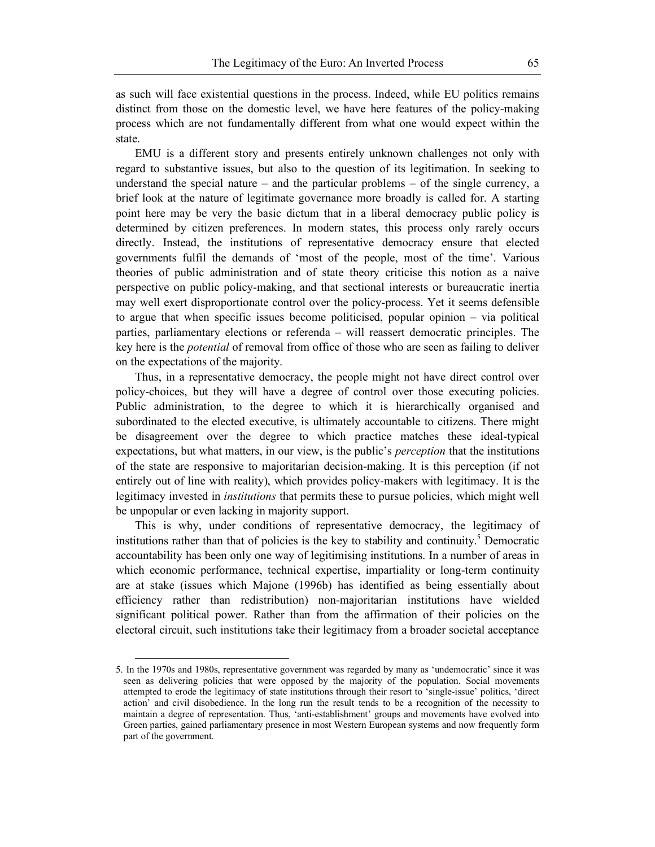as such will face existential questions in the process. Indeed, while EU politics remains distinct from those on the domestic level, we have here features of the policy-making process which are not fundamentally different from what one would expect within the state.

EMU is a different story and presents entirely unknown challenges not only with regard to substantive issues, but also to the question of its legitimation. In seeking to understand the special nature – and the particular problems – of the single currency, a brief look at the nature of legitimate governance more broadly is called for. A starting point here may be very the basic dictum that in a liberal democracy public policy is determined by citizen preferences. In modern states, this process only rarely occurs directly. Instead, the institutions of representative democracy ensure that elected governments fulfil the demands of 'most of the people, most of the time'. Various theories of public administration and of state theory criticise this notion as a naive perspective on public policy-making, and that sectional interests or bureaucratic inertia may well exert disproportionate control over the policy-process. Yet it seems defensible to argue that when specific issues become politicised, popular opinion – via political parties, parliamentary elections or referenda – will reassert democratic principles. The key here is the *potential* of removal from office of those who are seen as failing to deliver on the expectations of the majority.

Thus, in a representative democracy, the people might not have direct control over policy-choices, but they will have a degree of control over those executing policies. Public administration, to the degree to which it is hierarchically organised and subordinated to the elected executive, is ultimately accountable to citizens. There might be disagreement over the degree to which practice matches these ideal-typical expectations, but what matters, in our view, is the public's *perception* that the institutions of the state are responsive to majoritarian decision-making. It is this perception (if not entirely out of line with reality), which provides policy-makers with legitimacy. It is the legitimacy invested in *institutions* that permits these to pursue policies, which might well be unpopular or even lacking in majority support.

This is why, under conditions of representative democracy, the legitimacy of institutions rather than that of policies is the key to stability and continuity.<sup>5</sup> Democratic accountability has been only one way of legitimising institutions. In a number of areas in which economic performance, technical expertise, impartiality or long-term continuity are at stake (issues which Majone (1996b) has identified as being essentially about efficiency rather than redistribution) non-majoritarian institutions have wielded significant political power. Rather than from the affirmation of their policies on the electoral circuit, such institutions take their legitimacy from a broader societal acceptance

 <sup>5.</sup> In the 1970s and 1980s, representative government was regarded by many as 'undemocratic' since it was seen as delivering policies that were opposed by the majority of the population. Social movements attempted to erode the legitimacy of state institutions through their resort to 'single-issue' politics, 'direct action' and civil disobedience. In the long run the result tends to be a recognition of the necessity to maintain a degree of representation. Thus, 'anti-establishment' groups and movements have evolved into Green parties, gained parliamentary presence in most Western European systems and now frequently form part of the government.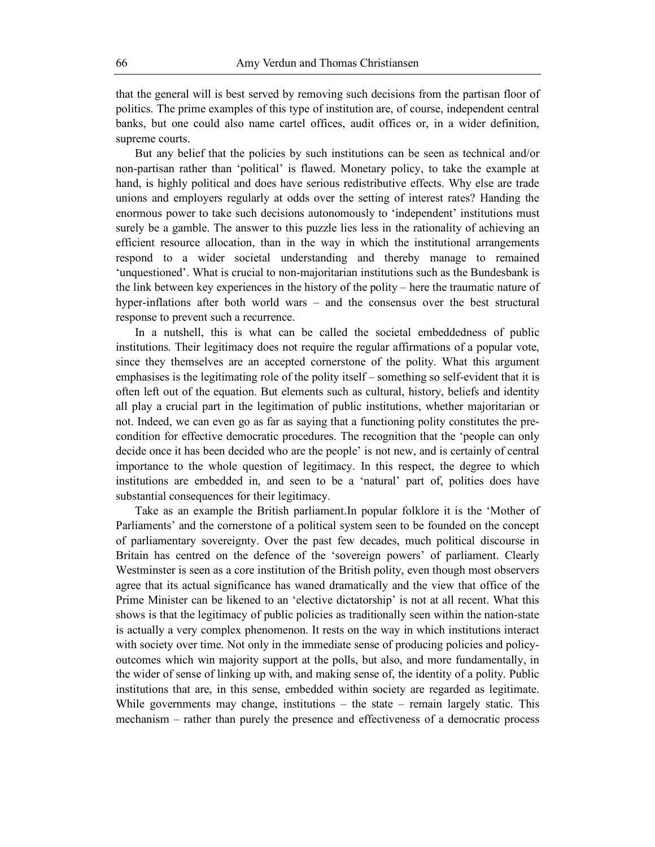that the general will is best served by removing such decisions from the partisan floor of politics. The prime examples of this type of institution are, of course, independent central banks, but one could also name cartel offices, audit offices or, in a wider definition, supreme courts.

But any belief that the policies by such institutions can be seen as technical and/or non-partisan rather than 'political' is flawed. Monetary policy, to take the example at hand, is highly political and does have serious redistributive effects. Why else are trade unions and employers regularly at odds over the setting of interest rates? Handing the enormous power to take such decisions autonomously to 'independent' institutions must surely be a gamble. The answer to this puzzle lies less in the rationality of achieving an efficient resource allocation, than in the way in which the institutional arrangements respond to a wider societal understanding and thereby manage to remained 'unquestioned'. What is crucial to non-majoritarian institutions such as the Bundesbank is the link between key experiences in the history of the polity – here the traumatic nature of hyper-inflations after both world wars – and the consensus over the best structural response to prevent such a recurrence.

In a nutshell, this is what can be called the societal embeddedness of public institutions. Their legitimacy does not require the regular affirmations of a popular vote, since they themselves are an accepted cornerstone of the polity. What this argument emphasises is the legitimating role of the polity itself – something so self-evident that it is often left out of the equation. But elements such as cultural, history, beliefs and identity all play a crucial part in the legitimation of public institutions, whether majoritarian or not. Indeed, we can even go as far as saying that a functioning polity constitutes the precondition for effective democratic procedures. The recognition that the 'people can only decide once it has been decided who are the people' is not new, and is certainly of central importance to the whole question of legitimacy. In this respect, the degree to which institutions are embedded in, and seen to be a 'natural' part of, polities does have substantial consequences for their legitimacy.

Take as an example the British parliament.In popular folklore it is the 'Mother of Parliaments' and the cornerstone of a political system seen to be founded on the concept of parliamentary sovereignty. Over the past few decades, much political discourse in Britain has centred on the defence of the 'sovereign powers' of parliament. Clearly Westminster is seen as a core institution of the British polity, even though most observers agree that its actual significance has waned dramatically and the view that office of the Prime Minister can be likened to an 'elective dictatorship' is not at all recent. What this shows is that the legitimacy of public policies as traditionally seen within the nation-state is actually a very complex phenomenon. It rests on the way in which institutions interact with society over time. Not only in the immediate sense of producing policies and policyoutcomes which win majority support at the polls, but also, and more fundamentally, in the wider of sense of linking up with, and making sense of, the identity of a polity. Public institutions that are, in this sense, embedded within society are regarded as legitimate. While governments may change, institutions  $-$  the state  $-$  remain largely static. This mechanism – rather than purely the presence and effectiveness of a democratic process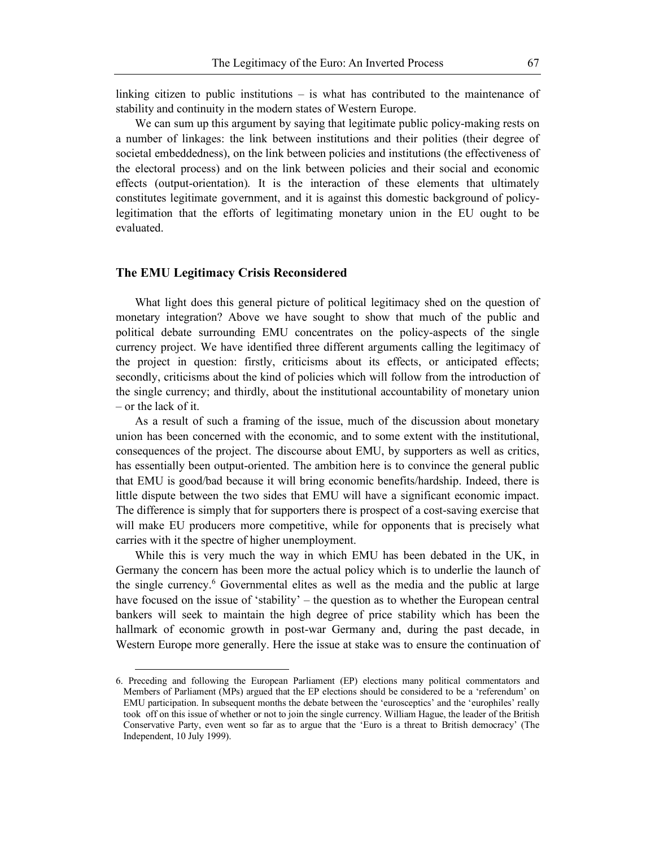linking citizen to public institutions – is what has contributed to the maintenance of stability and continuity in the modern states of Western Europe.

We can sum up this argument by saying that legitimate public policy-making rests on a number of linkages: the link between institutions and their polities (their degree of societal embeddedness), on the link between policies and institutions (the effectiveness of the electoral process) and on the link between policies and their social and economic effects (output-orientation). It is the interaction of these elements that ultimately constitutes legitimate government, and it is against this domestic background of policylegitimation that the efforts of legitimating monetary union in the EU ought to be evaluated.

#### **The EMU Legitimacy Crisis Reconsidered**

What light does this general picture of political legitimacy shed on the question of monetary integration? Above we have sought to show that much of the public and political debate surrounding EMU concentrates on the policy-aspects of the single currency project. We have identified three different arguments calling the legitimacy of the project in question: firstly, criticisms about its effects, or anticipated effects; secondly, criticisms about the kind of policies which will follow from the introduction of the single currency; and thirdly, about the institutional accountability of monetary union – or the lack of it.

As a result of such a framing of the issue, much of the discussion about monetary union has been concerned with the economic, and to some extent with the institutional, consequences of the project. The discourse about EMU, by supporters as well as critics, has essentially been output-oriented. The ambition here is to convince the general public that EMU is good/bad because it will bring economic benefits/hardship. Indeed, there is little dispute between the two sides that EMU will have a significant economic impact. The difference is simply that for supporters there is prospect of a cost-saving exercise that will make EU producers more competitive, while for opponents that is precisely what carries with it the spectre of higher unemployment.

While this is very much the way in which EMU has been debated in the UK, in Germany the concern has been more the actual policy which is to underlie the launch of the single currency.<sup>6</sup> Governmental elites as well as the media and the public at large have focused on the issue of 'stability' – the question as to whether the European central bankers will seek to maintain the high degree of price stability which has been the hallmark of economic growth in post-war Germany and, during the past decade, in Western Europe more generally. Here the issue at stake was to ensure the continuation of

 <sup>6.</sup> Preceding and following the European Parliament (EP) elections many political commentators and Members of Parliament (MPs) argued that the EP elections should be considered to be a 'referendum' on EMU participation. In subsequent months the debate between the 'eurosceptics' and the 'europhiles' really took off on this issue of whether or not to join the single currency. William Hague, the leader of the British Conservative Party, even went so far as to argue that the 'Euro is a threat to British democracy' (The Independent, 10 July 1999).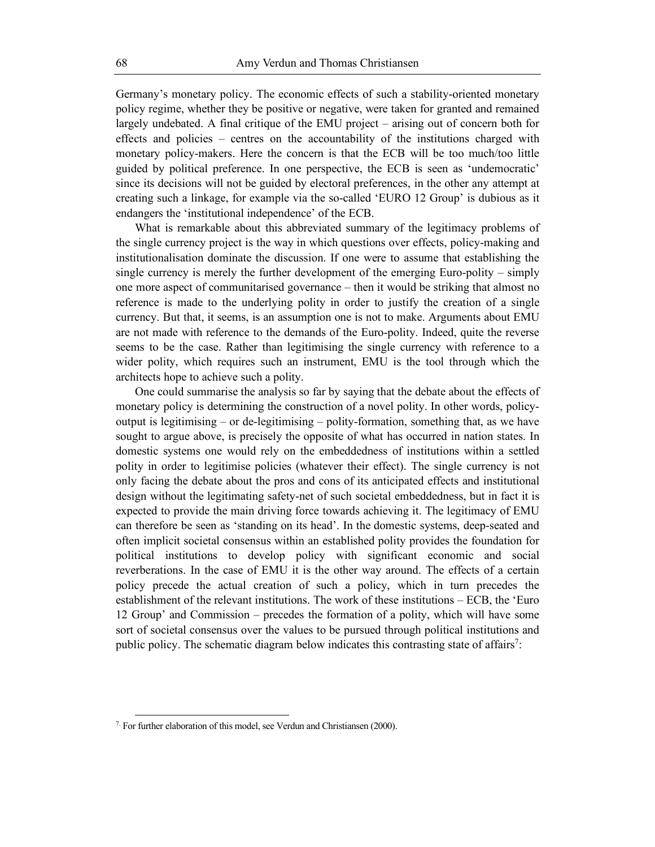Germany's monetary policy. The economic effects of such a stability-oriented monetary policy regime, whether they be positive or negative, were taken for granted and remained largely undebated. A final critique of the EMU project – arising out of concern both for effects and policies – centres on the accountability of the institutions charged with monetary policy-makers. Here the concern is that the ECB will be too much/too little guided by political preference. In one perspective, the ECB is seen as 'undemocratic' since its decisions will not be guided by electoral preferences, in the other any attempt at creating such a linkage, for example via the so-called 'EURO 12 Group' is dubious as it endangers the 'institutional independence' of the ECB.

What is remarkable about this abbreviated summary of the legitimacy problems of the single currency project is the way in which questions over effects, policy-making and institutionalisation dominate the discussion. If one were to assume that establishing the single currency is merely the further development of the emerging Euro-polity – simply one more aspect of communitarised governance – then it would be striking that almost no reference is made to the underlying polity in order to justify the creation of a single currency. But that, it seems, is an assumption one is not to make. Arguments about EMU are not made with reference to the demands of the Euro-polity. Indeed, quite the reverse seems to be the case. Rather than legitimising the single currency with reference to a wider polity, which requires such an instrument, EMU is the tool through which the architects hope to achieve such a polity.

One could summarise the analysis so far by saying that the debate about the effects of monetary policy is determining the construction of a novel polity. In other words, policyoutput is legitimising – or de-legitimising – polity-formation, something that, as we have sought to argue above, is precisely the opposite of what has occurred in nation states. In domestic systems one would rely on the embeddedness of institutions within a settled polity in order to legitimise policies (whatever their effect). The single currency is not only facing the debate about the pros and cons of its anticipated effects and institutional design without the legitimating safety-net of such societal embeddedness, but in fact it is expected to provide the main driving force towards achieving it. The legitimacy of EMU can therefore be seen as 'standing on its head'. In the domestic systems, deep-seated and often implicit societal consensus within an established polity provides the foundation for political institutions to develop policy with significant economic and social reverberations. In the case of EMU it is the other way around. The effects of a certain policy precede the actual creation of such a policy, which in turn precedes the establishment of the relevant institutions. The work of these institutions – ECB, the 'Euro 12 Group' and Commission – precedes the formation of a polity, which will have some sort of societal consensus over the values to be pursued through political institutions and public policy. The schematic diagram below indicates this contrasting state of affairs<sup>7</sup>:

 <sup>7.</sup> For further elaboration of this model, see Verdun and Christiansen (2000).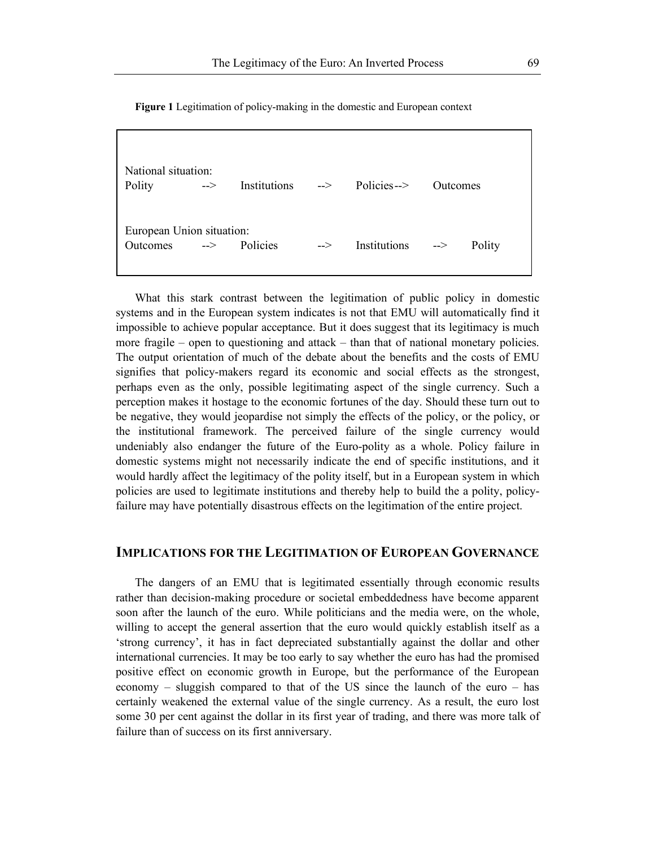| National situation:<br>Polity                | $\rightarrow$                                     | Institutions --> |               | Policies $\rightarrow$ | <b>Outcomes</b>                                             |  |
|----------------------------------------------|---------------------------------------------------|------------------|---------------|------------------------|-------------------------------------------------------------|--|
| European Union situation:<br><b>Outcomes</b> | $\overline{\phantom{0}}$ $\overline{\phantom{0}}$ | Policies         | $\Rightarrow$ | Institutions           | Polity<br>$\overline{\phantom{0}}$ $\overline{\phantom{0}}$ |  |

**Figure 1** Legitimation of policy-making in the domestic and European context

What this stark contrast between the legitimation of public policy in domestic systems and in the European system indicates is not that EMU will automatically find it impossible to achieve popular acceptance. But it does suggest that its legitimacy is much more fragile – open to questioning and attack – than that of national monetary policies. The output orientation of much of the debate about the benefits and the costs of EMU signifies that policy-makers regard its economic and social effects as the strongest, perhaps even as the only, possible legitimating aspect of the single currency. Such a perception makes it hostage to the economic fortunes of the day. Should these turn out to be negative, they would jeopardise not simply the effects of the policy, or the policy, or the institutional framework. The perceived failure of the single currency would undeniably also endanger the future of the Euro-polity as a whole. Policy failure in domestic systems might not necessarily indicate the end of specific institutions, and it would hardly affect the legitimacy of the polity itself, but in a European system in which policies are used to legitimate institutions and thereby help to build the a polity, policyfailure may have potentially disastrous effects on the legitimation of the entire project.

### **IMPLICATIONS FOR THE LEGITIMATION OF EUROPEAN GOVERNANCE**

The dangers of an EMU that is legitimated essentially through economic results rather than decision-making procedure or societal embeddedness have become apparent soon after the launch of the euro. While politicians and the media were, on the whole, willing to accept the general assertion that the euro would quickly establish itself as a 'strong currency', it has in fact depreciated substantially against the dollar and other international currencies. It may be too early to say whether the euro has had the promised positive effect on economic growth in Europe, but the performance of the European economy – sluggish compared to that of the US since the launch of the euro – has certainly weakened the external value of the single currency. As a result, the euro lost some 30 per cent against the dollar in its first year of trading, and there was more talk of failure than of success on its first anniversary.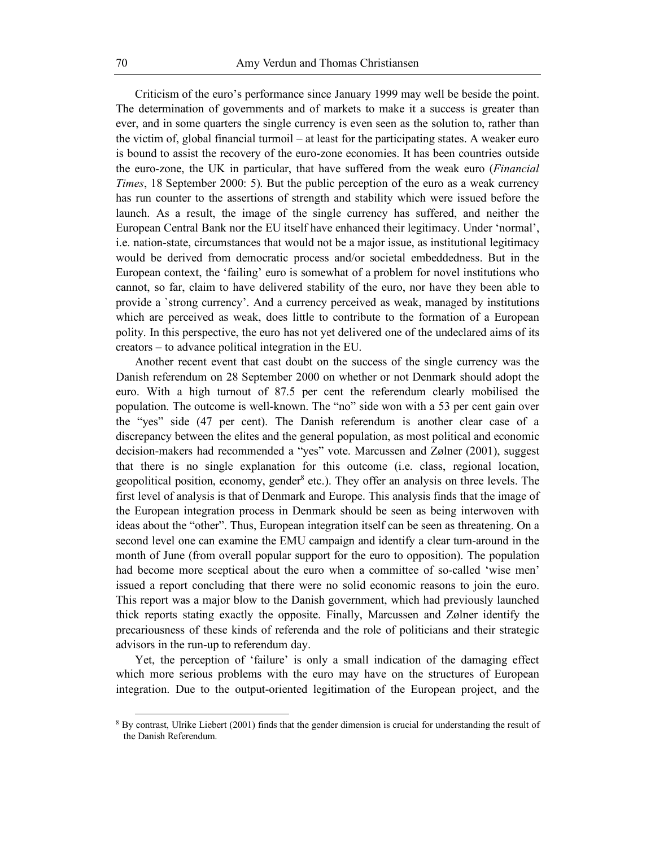Criticism of the euro's performance since January 1999 may well be beside the point. The determination of governments and of markets to make it a success is greater than ever, and in some quarters the single currency is even seen as the solution to, rather than the victim of, global financial turmoil – at least for the participating states. A weaker euro is bound to assist the recovery of the euro-zone economies. It has been countries outside the euro-zone, the UK in particular, that have suffered from the weak euro (*Financial Times*, 18 September 2000: 5). But the public perception of the euro as a weak currency has run counter to the assertions of strength and stability which were issued before the launch. As a result, the image of the single currency has suffered, and neither the European Central Bank nor the EU itself have enhanced their legitimacy. Under 'normal', i.e. nation-state, circumstances that would not be a major issue, as institutional legitimacy would be derived from democratic process and/or societal embeddedness. But in the European context, the 'failing' euro is somewhat of a problem for novel institutions who cannot, so far, claim to have delivered stability of the euro, nor have they been able to provide a `strong currency'. And a currency perceived as weak, managed by institutions which are perceived as weak, does little to contribute to the formation of a European polity. In this perspective, the euro has not yet delivered one of the undeclared aims of its creators – to advance political integration in the EU.

Another recent event that cast doubt on the success of the single currency was the Danish referendum on 28 September 2000 on whether or not Denmark should adopt the euro. With a high turnout of 87.5 per cent the referendum clearly mobilised the population. The outcome is well-known. The "no" side won with a 53 per cent gain over the "yes" side (47 per cent). The Danish referendum is another clear case of a discrepancy between the elites and the general population, as most political and economic decision-makers had recommended a "yes" vote. Marcussen and Zølner (2001), suggest that there is no single explanation for this outcome (i.e. class, regional location, geopolitical position, economy, gender<sup>8</sup> etc.). They offer an analysis on three levels. The first level of analysis is that of Denmark and Europe. This analysis finds that the image of the European integration process in Denmark should be seen as being interwoven with ideas about the "other". Thus, European integration itself can be seen as threatening. On a second level one can examine the EMU campaign and identify a clear turn-around in the month of June (from overall popular support for the euro to opposition). The population had become more sceptical about the euro when a committee of so-called 'wise men' issued a report concluding that there were no solid economic reasons to join the euro. This report was a major blow to the Danish government, which had previously launched thick reports stating exactly the opposite. Finally, Marcussen and Zølner identify the precariousness of these kinds of referenda and the role of politicians and their strategic advisors in the run-up to referendum day.

Yet, the perception of 'failure' is only a small indication of the damaging effect which more serious problems with the euro may have on the structures of European integration. Due to the output-oriented legitimation of the European project, and the

<sup>&</sup>lt;sup>8</sup> By contrast, Ulrike Liebert (2001) finds that the gender dimension is crucial for understanding the result of the Danish Referendum.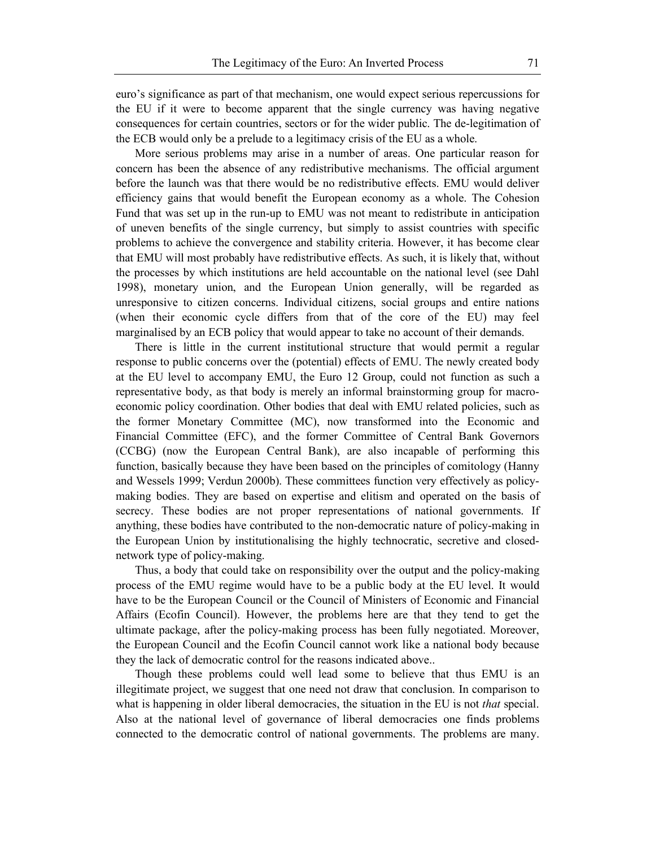euro's significance as part of that mechanism, one would expect serious repercussions for the EU if it were to become apparent that the single currency was having negative consequences for certain countries, sectors or for the wider public. The de-legitimation of the ECB would only be a prelude to a legitimacy crisis of the EU as a whole.

More serious problems may arise in a number of areas. One particular reason for concern has been the absence of any redistributive mechanisms. The official argument before the launch was that there would be no redistributive effects. EMU would deliver efficiency gains that would benefit the European economy as a whole. The Cohesion Fund that was set up in the run-up to EMU was not meant to redistribute in anticipation of uneven benefits of the single currency, but simply to assist countries with specific problems to achieve the convergence and stability criteria. However, it has become clear that EMU will most probably have redistributive effects. As such, it is likely that, without the processes by which institutions are held accountable on the national level (see Dahl 1998), monetary union, and the European Union generally, will be regarded as unresponsive to citizen concerns. Individual citizens, social groups and entire nations (when their economic cycle differs from that of the core of the EU) may feel marginalised by an ECB policy that would appear to take no account of their demands.

There is little in the current institutional structure that would permit a regular response to public concerns over the (potential) effects of EMU. The newly created body at the EU level to accompany EMU, the Euro 12 Group, could not function as such a representative body, as that body is merely an informal brainstorming group for macroeconomic policy coordination. Other bodies that deal with EMU related policies, such as the former Monetary Committee (MC), now transformed into the Economic and Financial Committee (EFC), and the former Committee of Central Bank Governors (CCBG) (now the European Central Bank), are also incapable of performing this function, basically because they have been based on the principles of comitology (Hanny and Wessels 1999; Verdun 2000b). These committees function very effectively as policymaking bodies. They are based on expertise and elitism and operated on the basis of secrecy. These bodies are not proper representations of national governments. If anything, these bodies have contributed to the non-democratic nature of policy-making in the European Union by institutionalising the highly technocratic, secretive and closednetwork type of policy-making.

Thus, a body that could take on responsibility over the output and the policy-making process of the EMU regime would have to be a public body at the EU level. It would have to be the European Council or the Council of Ministers of Economic and Financial Affairs (Ecofin Council). However, the problems here are that they tend to get the ultimate package, after the policy-making process has been fully negotiated. Moreover, the European Council and the Ecofin Council cannot work like a national body because they the lack of democratic control for the reasons indicated above..

Though these problems could well lead some to believe that thus EMU is an illegitimate project, we suggest that one need not draw that conclusion. In comparison to what is happening in older liberal democracies, the situation in the EU is not *that* special. Also at the national level of governance of liberal democracies one finds problems connected to the democratic control of national governments. The problems are many.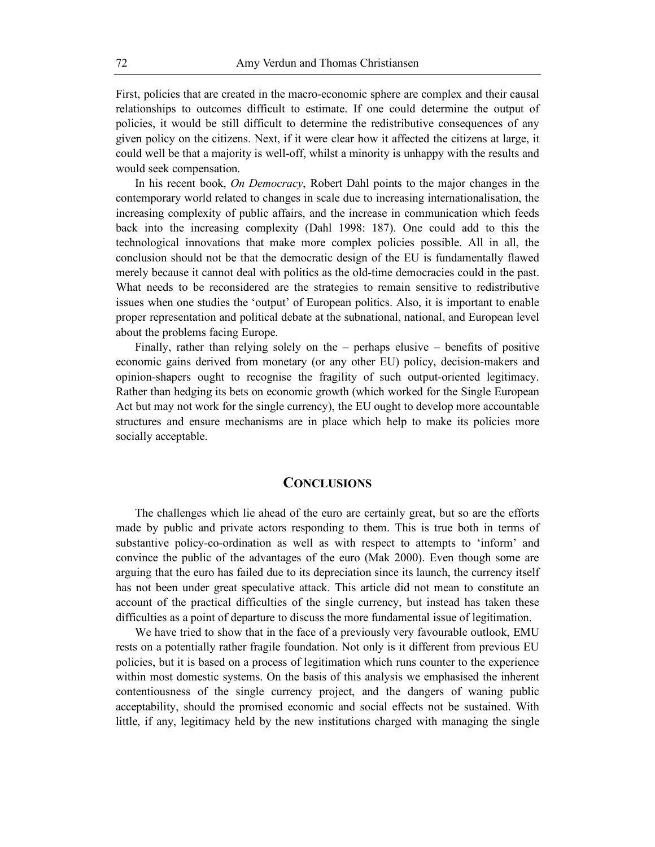First, policies that are created in the macro-economic sphere are complex and their causal relationships to outcomes difficult to estimate. If one could determine the output of policies, it would be still difficult to determine the redistributive consequences of any given policy on the citizens. Next, if it were clear how it affected the citizens at large, it could well be that a majority is well-off, whilst a minority is unhappy with the results and would seek compensation.

In his recent book, *On Democracy*, Robert Dahl points to the major changes in the contemporary world related to changes in scale due to increasing internationalisation, the increasing complexity of public affairs, and the increase in communication which feeds back into the increasing complexity (Dahl 1998: 187). One could add to this the technological innovations that make more complex policies possible. All in all, the conclusion should not be that the democratic design of the EU is fundamentally flawed merely because it cannot deal with politics as the old-time democracies could in the past. What needs to be reconsidered are the strategies to remain sensitive to redistributive issues when one studies the 'output' of European politics. Also, it is important to enable proper representation and political debate at the subnational, national, and European level about the problems facing Europe.

Finally, rather than relying solely on the – perhaps elusive – benefits of positive economic gains derived from monetary (or any other EU) policy, decision-makers and opinion-shapers ought to recognise the fragility of such output-oriented legitimacy. Rather than hedging its bets on economic growth (which worked for the Single European Act but may not work for the single currency), the EU ought to develop more accountable structures and ensure mechanisms are in place which help to make its policies more socially acceptable.

#### **CONCLUSIONS**

The challenges which lie ahead of the euro are certainly great, but so are the efforts made by public and private actors responding to them. This is true both in terms of substantive policy-co-ordination as well as with respect to attempts to 'inform' and convince the public of the advantages of the euro (Mak 2000). Even though some are arguing that the euro has failed due to its depreciation since its launch, the currency itself has not been under great speculative attack. This article did not mean to constitute an account of the practical difficulties of the single currency, but instead has taken these difficulties as a point of departure to discuss the more fundamental issue of legitimation.

We have tried to show that in the face of a previously very favourable outlook, EMU rests on a potentially rather fragile foundation. Not only is it different from previous EU policies, but it is based on a process of legitimation which runs counter to the experience within most domestic systems. On the basis of this analysis we emphasised the inherent contentiousness of the single currency project, and the dangers of waning public acceptability, should the promised economic and social effects not be sustained. With little, if any, legitimacy held by the new institutions charged with managing the single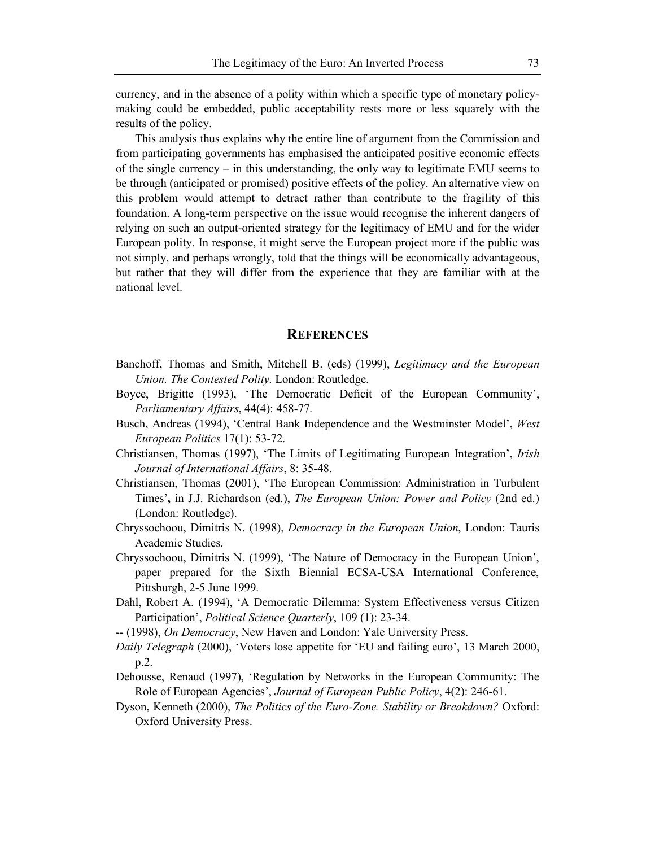currency, and in the absence of a polity within which a specific type of monetary policymaking could be embedded, public acceptability rests more or less squarely with the results of the policy.

This analysis thus explains why the entire line of argument from the Commission and from participating governments has emphasised the anticipated positive economic effects of the single currency  $-$  in this understanding, the only way to legitimate EMU seems to be through (anticipated or promised) positive effects of the policy. An alternative view on this problem would attempt to detract rather than contribute to the fragility of this foundation. A long-term perspective on the issue would recognise the inherent dangers of relying on such an output-oriented strategy for the legitimacy of EMU and for the wider European polity. In response, it might serve the European project more if the public was not simply, and perhaps wrongly, told that the things will be economically advantageous, but rather that they will differ from the experience that they are familiar with at the national level.

#### **REFERENCES**

- Banchoff, Thomas and Smith, Mitchell B. (eds) (1999), *Legitimacy and the European Union. The Contested Polity*. London: Routledge.
- Boyce, Brigitte (1993), 'The Democratic Deficit of the European Community', *Parliamentary Affairs*, 44(4): 458-77.
- Busch, Andreas (1994), 'Central Bank Independence and the Westminster Model', *West European Politics* 17(1): 53-72.
- Christiansen, Thomas (1997), 'The Limits of Legitimating European Integration', *Irish Journal of International Affairs*, 8: 35-48.
- Christiansen, Thomas (2001), 'The European Commission: Administration in Turbulent Times'**,** in J.J. Richardson (ed.), *The European Union: Power and Policy* (2nd ed.) (London: Routledge).
- Chryssochoou, Dimitris N. (1998), *Democracy in the European Union*, London: Tauris Academic Studies.
- Chryssochoou, Dimitris N. (1999), 'The Nature of Democracy in the European Union', paper prepared for the Sixth Biennial ECSA-USA International Conference, Pittsburgh, 2-5 June 1999.
- Dahl, Robert A. (1994), 'A Democratic Dilemma: System Effectiveness versus Citizen Participation', *Political Science Quarterly*, 109 (1): 23-34.
- -- (1998), *On Democracy*, New Haven and London: Yale University Press.
- *Daily Telegraph* (2000), 'Voters lose appetite for 'EU and failing euro', 13 March 2000, p.2.
- Dehousse, Renaud (1997), 'Regulation by Networks in the European Community: The Role of European Agencies', *Journal of European Public Policy*, 4(2): 246-61.
- Dyson, Kenneth (2000), *The Politics of the Euro-Zone. Stability or Breakdown?* Oxford: Oxford University Press.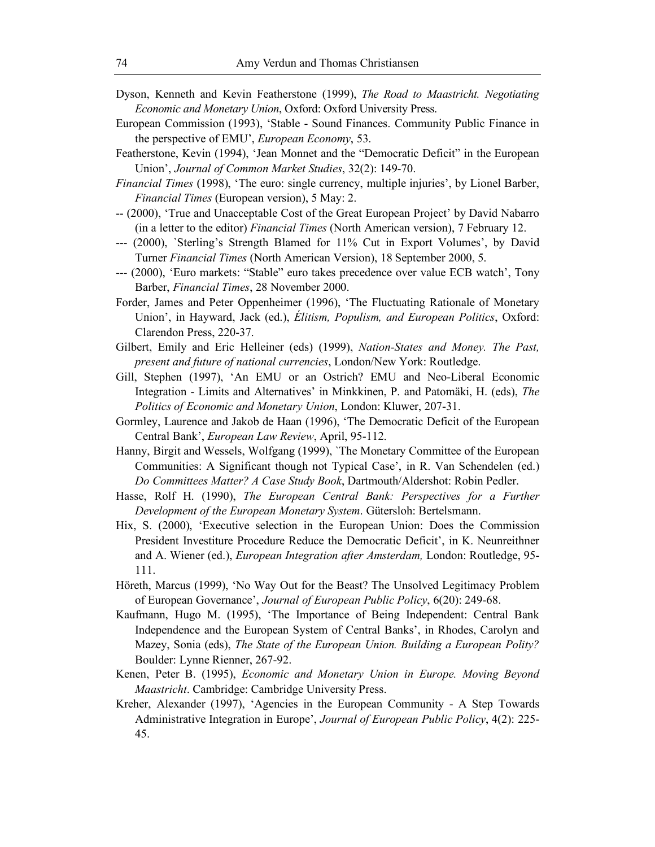- Dyson, Kenneth and Kevin Featherstone (1999), *The Road to Maastricht. Negotiating Economic and Monetary Union*, Oxford: Oxford University Press.
- European Commission (1993), 'Stable Sound Finances. Community Public Finance in the perspective of EMU', *European Economy*, 53.
- Featherstone, Kevin (1994), 'Jean Monnet and the "Democratic Deficit" in the European Union', *Journal of Common Market Studies*, 32(2): 149-70.
- *Financial Times* (1998), 'The euro: single currency, multiple injuries', by Lionel Barber, *Financial Times* (European version), 5 May: 2.
- -- (2000), 'True and Unacceptable Cost of the Great European Project' by David Nabarro (in a letter to the editor) *Financial Times* (North American version), 7 February 12.
- --- (2000), `Sterling's Strength Blamed for 11% Cut in Export Volumes', by David Turner *Financial Times* (North American Version), 18 September 2000, 5.
- --- (2000), 'Euro markets: "Stable" euro takes precedence over value ECB watch', Tony Barber, *Financial Times*, 28 November 2000.
- Forder, James and Peter Oppenheimer (1996), 'The Fluctuating Rationale of Monetary Union', in Hayward, Jack (ed.), *Élitism, Populism, and European Politics*, Oxford: Clarendon Press, 220-37.
- Gilbert, Emily and Eric Helleiner (eds) (1999), *Nation-States and Money. The Past, present and future of national currencies*, London/New York: Routledge.
- Gill, Stephen (1997), 'An EMU or an Ostrich? EMU and Neo-Liberal Economic Integration - Limits and Alternatives' in Minkkinen, P. and Patomäki, H. (eds), *The Politics of Economic and Monetary Union*, London: Kluwer, 207-31.
- Gormley, Laurence and Jakob de Haan (1996), 'The Democratic Deficit of the European Central Bank', *European Law Review*, April, 95-112.
- Hanny, Birgit and Wessels, Wolfgang (1999), `The Monetary Committee of the European Communities: A Significant though not Typical Case', in R. Van Schendelen (ed.) *Do Committees Matter? A Case Study Book*, Dartmouth/Aldershot: Robin Pedler.
- Hasse, Rolf H. (1990), *The European Central Bank: Perspectives for a Further Development of the European Monetary System*. Gütersloh: Bertelsmann.
- Hix, S. (2000), 'Executive selection in the European Union: Does the Commission President Investiture Procedure Reduce the Democratic Deficit', in K. Neunreithner and A. Wiener (ed.), *European Integration after Amsterdam,* London: Routledge, 95- 111.
- Höreth, Marcus (1999), 'No Way Out for the Beast? The Unsolved Legitimacy Problem of European Governance', *Journal of European Public Policy*, 6(20): 249-68.
- Kaufmann, Hugo M. (1995), 'The Importance of Being Independent: Central Bank Independence and the European System of Central Banks', in Rhodes, Carolyn and Mazey, Sonia (eds), *The State of the European Union. Building a European Polity?* Boulder: Lynne Rienner, 267-92.
- Kenen, Peter B. (1995), *Economic and Monetary Union in Europe. Moving Beyond Maastricht*. Cambridge: Cambridge University Press.
- Kreher, Alexander (1997), 'Agencies in the European Community A Step Towards Administrative Integration in Europe', *Journal of European Public Policy*, 4(2): 225- 45.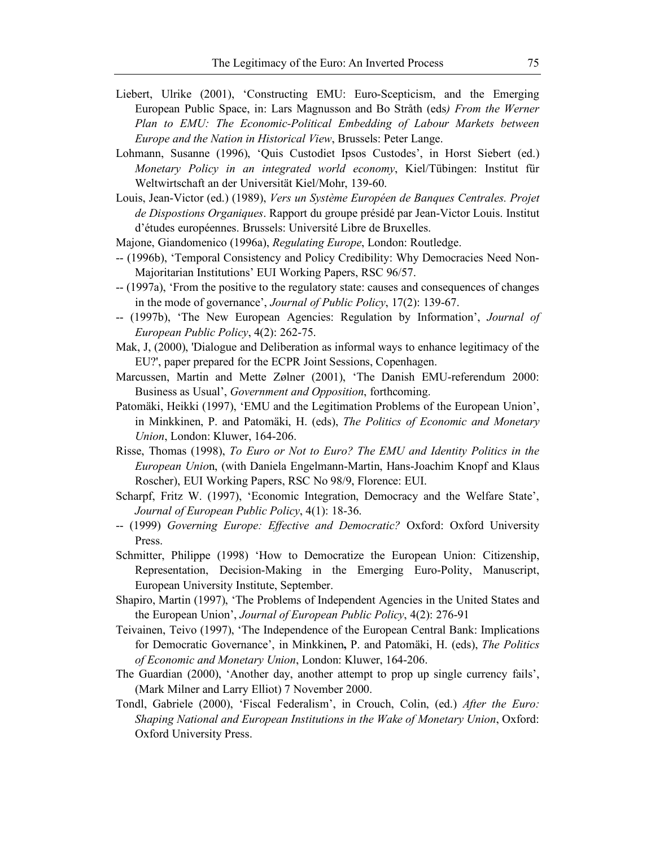- Liebert, Ulrike (2001), 'Constructing EMU: Euro-Scepticism, and the Emerging European Public Space, in: Lars Magnusson and Bo Stråth (eds*) From the Werner Plan to EMU: The Economic-Political Embedding of Labour Markets between Europe and the Nation in Historical View*, Brussels: Peter Lange.
- Lohmann, Susanne (1996), 'Quis Custodiet Ipsos Custodes', in Horst Siebert (ed.) *Monetary Policy in an integrated world economy*, Kiel/Tübingen: Institut für Weltwirtschaft an der Universität Kiel/Mohr, 139-60.
- Louis, Jean-Victor (ed.) (1989), *Vers un Système Européen de Banques Centrales. Projet de Dispostions Organiques*. Rapport du groupe présidé par Jean-Victor Louis. Institut d'études européennes. Brussels: Université Libre de Bruxelles.
- Majone, Giandomenico (1996a), *Regulating Europe*, London: Routledge.
- -- (1996b), 'Temporal Consistency and Policy Credibility: Why Democracies Need Non-Majoritarian Institutions' EUI Working Papers, RSC 96/57.
- -- (1997a), 'From the positive to the regulatory state: causes and consequences of changes in the mode of governance', *Journal of Public Policy*, 17(2): 139-67.
- -- (1997b), 'The New European Agencies: Regulation by Information', *Journal of European Public Policy*, 4(2): 262-75.
- Mak, J, (2000), 'Dialogue and Deliberation as informal ways to enhance legitimacy of the EU?', paper prepared for the ECPR Joint Sessions, Copenhagen.
- Marcussen, Martin and Mette Zølner (2001), 'The Danish EMU-referendum 2000: Business as Usual', *Government and Opposition*, forthcoming.
- Patomäki, Heikki (1997), 'EMU and the Legitimation Problems of the European Union', in Minkkinen, P. and Patomäki, H. (eds), *The Politics of Economic and Monetary Union*, London: Kluwer, 164-206.
- Risse, Thomas (1998), *To Euro or Not to Euro? The EMU and Identity Politics in the European Unio*n, (with Daniela Engelmann-Martin, Hans-Joachim Knopf and Klaus Roscher), EUI Working Papers, RSC No 98/9, Florence: EUI.
- Scharpf, Fritz W. (1997), 'Economic Integration, Democracy and the Welfare State', *Journal of European Public Policy*, 4(1): 18-36.
- -- (1999) *Governing Europe: Effective and Democratic?* Oxford: Oxford University Press.
- Schmitter, Philippe (1998) 'How to Democratize the European Union: Citizenship, Representation, Decision-Making in the Emerging Euro-Polity, Manuscript, European University Institute, September.
- Shapiro, Martin (1997), 'The Problems of Independent Agencies in the United States and the European Union', *Journal of European Public Policy*, 4(2): 276-91
- Teivainen, Teivo (1997), 'The Independence of the European Central Bank: Implications for Democratic Governance', in Minkkinen**,** P. and Patomäki, H. (eds), *The Politics of Economic and Monetary Union*, London: Kluwer, 164-206.
- The Guardian (2000), 'Another day, another attempt to prop up single currency fails', (Mark Milner and Larry Elliot) 7 November 2000.
- Tondl, Gabriele (2000), 'Fiscal Federalism', in Crouch, Colin, (ed.) *After the Euro: Shaping National and European Institutions in the Wake of Monetary Union*, Oxford: Oxford University Press.